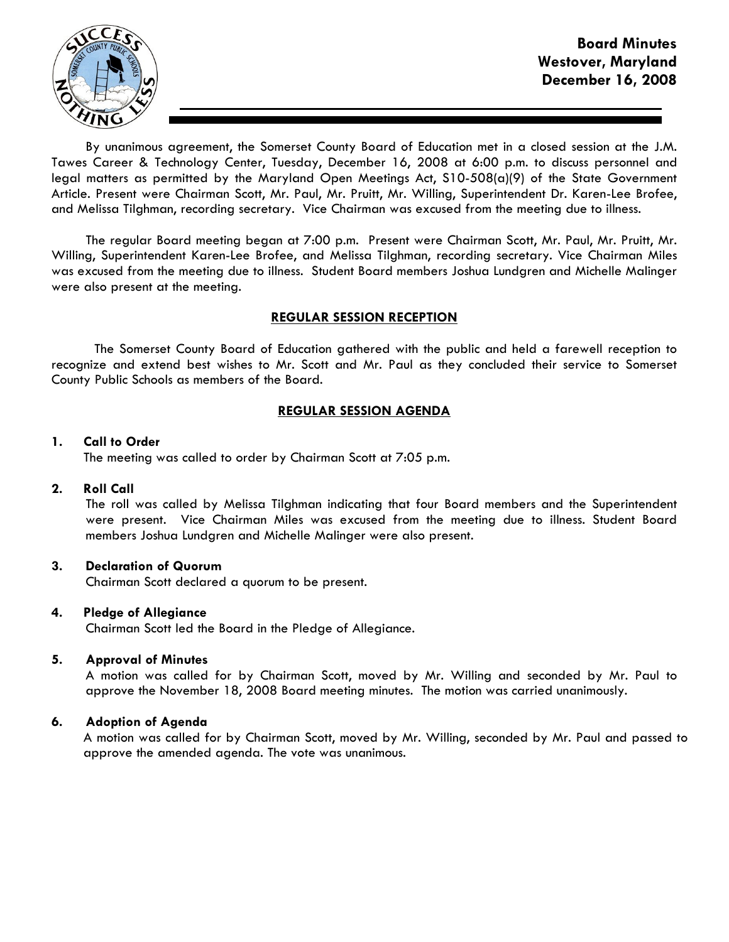

By unanimous agreement, the Somerset County Board of Education met in a closed session at the J.M. Tawes Career & Technology Center, Tuesday, December 16, 2008 at 6:00 p.m. to discuss personnel and legal matters as permitted by the Maryland Open Meetings Act, S10-508(a)(9) of the State Government Article. Present were Chairman Scott, Mr. Paul, Mr. Pruitt, Mr. Willing, Superintendent Dr. Karen-Lee Brofee, and Melissa Tilghman, recording secretary. Vice Chairman was excused from the meeting due to illness.

The regular Board meeting began at 7:00 p.m. Present were Chairman Scott, Mr. Paul, Mr. Pruitt, Mr. Willing, Superintendent Karen-Lee Brofee, and Melissa Tilghman, recording secretary. Vice Chairman Miles was excused from the meeting due to illness. Student Board members Joshua Lundgren and Michelle Malinger were also present at the meeting.

# REGULAR SESSION RECEPTION

 The Somerset County Board of Education gathered with the public and held a farewell reception to recognize and extend best wishes to Mr. Scott and Mr. Paul as they concluded their service to Somerset County Public Schools as members of the Board.

# REGULAR SESSION AGENDA

## 1. Call to Order

The meeting was called to order by Chairman Scott at 7:05 p.m.

## 2. Roll Call

The roll was called by Melissa Tilghman indicating that four Board members and the Superintendent were present. Vice Chairman Miles was excused from the meeting due to illness. Student Board members Joshua Lundgren and Michelle Malinger were also present.

# 3. Declaration of Quorum

Chairman Scott declared a quorum to be present.

## 4. Pledge of Allegiance

Chairman Scott led the Board in the Pledge of Allegiance.

## 5. Approval of Minutes

A motion was called for by Chairman Scott, moved by Mr. Willing and seconded by Mr. Paul to approve the November 18, 2008 Board meeting minutes. The motion was carried unanimously.

## 6. Adoption of Agenda

 A motion was called for by Chairman Scott, moved by Mr. Willing, seconded by Mr. Paul and passed to approve the amended agenda. The vote was unanimous.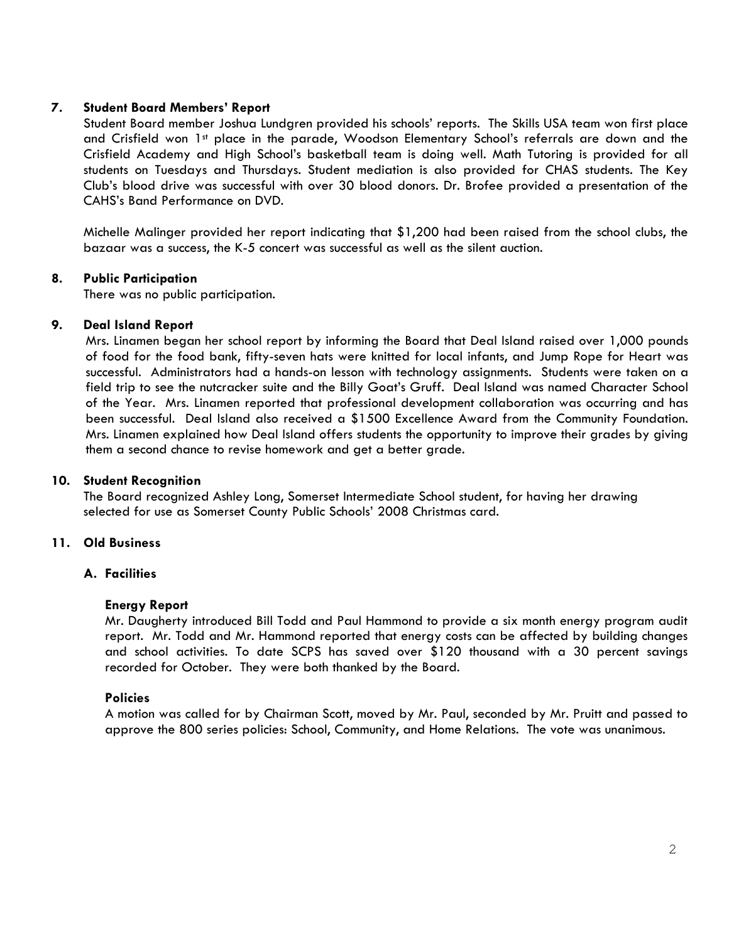# 7. Student Board Members' Report

Student Board member Joshua Lundgren provided his schools' reports. The Skills USA team won first place and Crisfield won 1<sup>st</sup> place in the parade, Woodson Elementary School's referrals are down and the Crisfield Academy and High School's basketball team is doing well. Math Tutoring is provided for all students on Tuesdays and Thursdays. Student mediation is also provided for CHAS students. The Key Club's blood drive was successful with over 30 blood donors. Dr. Brofee provided a presentation of the CAHS's Band Performance on DVD.

 Michelle Malinger provided her report indicating that \$1,200 had been raised from the school clubs, the bazaar was a success, the K-5 concert was successful as well as the silent auction.

# 8. Public Participation

There was no public participation.

## 9. Deal Island Report

 Mrs. Linamen began her school report by informing the Board that Deal Island raised over 1,000 pounds of food for the food bank, fifty-seven hats were knitted for local infants, and Jump Rope for Heart was successful. Administrators had a hands-on lesson with technology assignments. Students were taken on a field trip to see the nutcracker suite and the Billy Goat's Gruff. Deal Island was named Character School of the Year. Mrs. Linamen reported that professional development collaboration was occurring and has been successful. Deal Island also received a \$1500 Excellence Award from the Community Foundation. Mrs. Linamen explained how Deal Island offers students the opportunity to improve their grades by giving them a second chance to revise homework and get a better grade.

## 10. Student Recognition

The Board recognized Ashley Long, Somerset Intermediate School student, for having her drawing selected for use as Somerset County Public Schools' 2008 Christmas card.

# 11. Old Business

## A. Facilities

## Energy Report

Mr. Daugherty introduced Bill Todd and Paul Hammond to provide a six month energy program audit report. Mr. Todd and Mr. Hammond reported that energy costs can be affected by building changes and school activities. To date SCPS has saved over \$120 thousand with a 30 percent savings recorded for October. They were both thanked by the Board.

## Policies

A motion was called for by Chairman Scott, moved by Mr. Paul, seconded by Mr. Pruitt and passed to approve the 800 series policies: School, Community, and Home Relations. The vote was unanimous.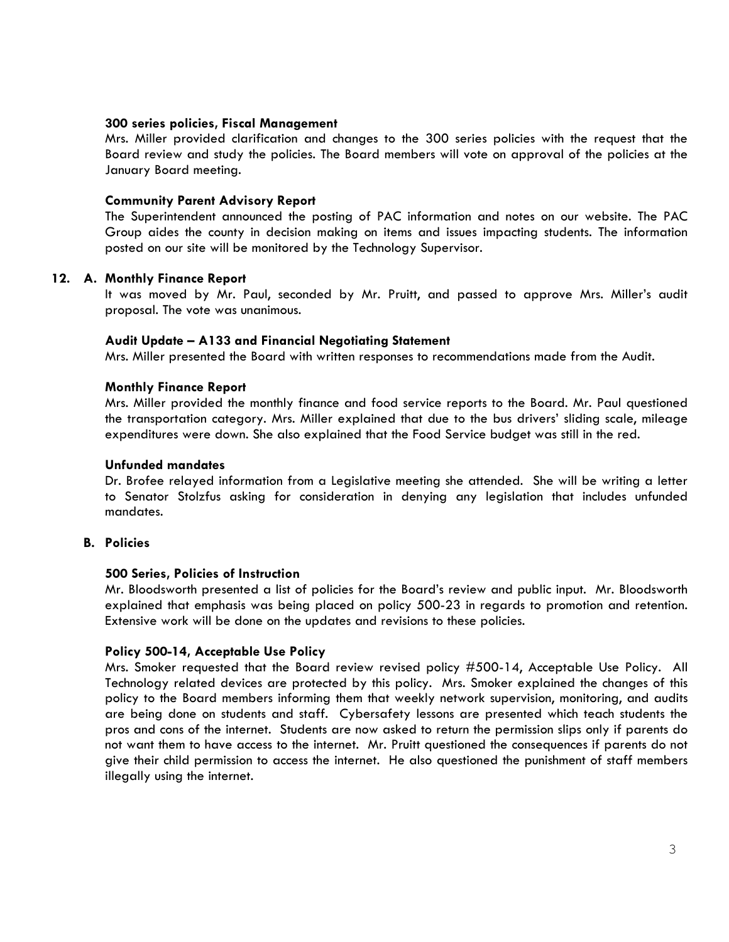#### 300 series policies, Fiscal Management

Mrs. Miller provided clarification and changes to the 300 series policies with the request that the Board review and study the policies. The Board members will vote on approval of the policies at the January Board meeting.

### Community Parent Advisory Report

The Superintendent announced the posting of PAC information and notes on our website. The PAC Group aides the county in decision making on items and issues impacting students. The information posted on our site will be monitored by the Technology Supervisor.

### 12. A. Monthly Finance Report

It was moved by Mr. Paul, seconded by Mr. Pruitt, and passed to approve Mrs. Miller's audit proposal. The vote was unanimous.

### Audit Update – A133 and Financial Negotiating Statement

Mrs. Miller presented the Board with written responses to recommendations made from the Audit.

### Monthly Finance Report

Mrs. Miller provided the monthly finance and food service reports to the Board. Mr. Paul questioned the transportation category. Mrs. Miller explained that due to the bus drivers' sliding scale, mileage expenditures were down. She also explained that the Food Service budget was still in the red.

#### Unfunded mandates

Dr. Brofee relayed information from a Legislative meeting she attended. She will be writing a letter to Senator Stolzfus asking for consideration in denying any legislation that includes unfunded mandates.

# B. Policies

## 500 Series, Policies of Instruction

Mr. Bloodsworth presented a list of policies for the Board's review and public input. Mr. Bloodsworth explained that emphasis was being placed on policy 500-23 in regards to promotion and retention. Extensive work will be done on the updates and revisions to these policies.

## Policy 500-14, Acceptable Use Policy

 Mrs. Smoker requested that the Board review revised policy #500-14, Acceptable Use Policy. All Technology related devices are protected by this policy. Mrs. Smoker explained the changes of this policy to the Board members informing them that weekly network supervision, monitoring, and audits are being done on students and staff. Cybersafety lessons are presented which teach students the pros and cons of the internet. Students are now asked to return the permission slips only if parents do not want them to have access to the internet. Mr. Pruitt questioned the consequences if parents do not give their child permission to access the internet. He also questioned the punishment of staff members illegally using the internet.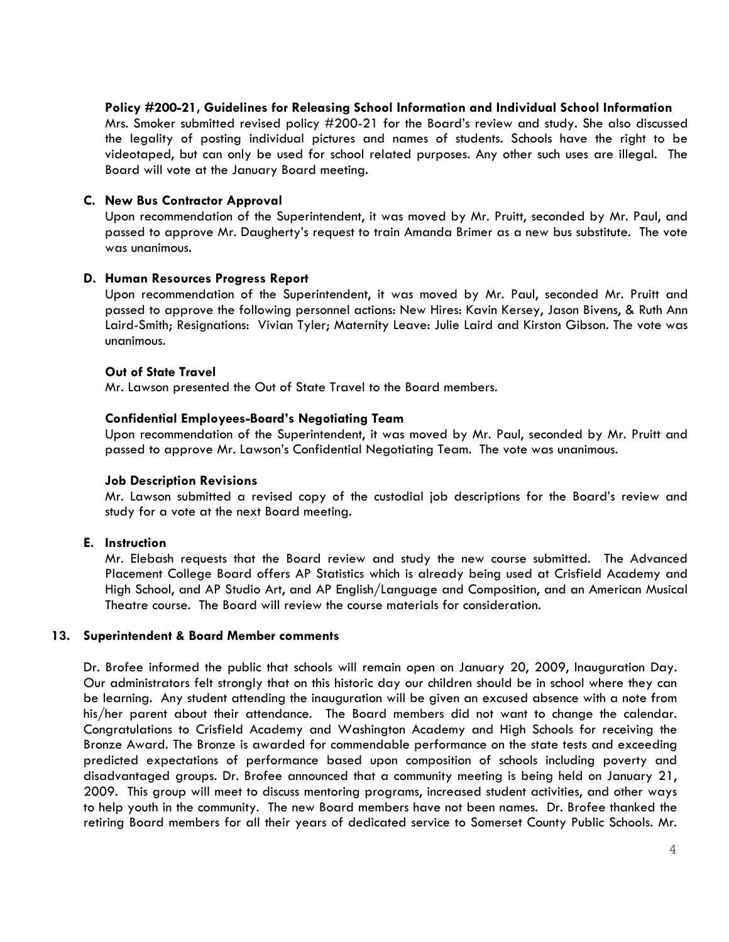## Policy #200-21, Guidelines for Releasing School Information and Individual School Information

Mrs. Smoker submitted revised policy #200-21 for the Board's review and study. She also discussed the legality of posting individual pictures and names of students. Schools have the right to be videotaped, but can only be used for school related purposes. Any other such uses are illegal. The Board will vote at the January Board meeting.

#### C. New Bus Contractor Approval

Upon recommendation of the Superintendent, it was moved by Mr. Pruitt, seconded by Mr. Paul, and passed to approve Mr. Daugherty's request to train Amanda Brimer as a new bus substitute. The vote was unanimous.

#### D. Human Resources Progress Report

Upon recommendation of the Superintendent, it was moved by Mr. Paul, seconded Mr. Pruitt and passed to approve the following personnel actions: New Hires: Kavin Kersey, Jason Bivens, & Ruth Ann Laird-Smith; Resignations: Vivian Tyler; Maternity Leave: Julie Laird and Kirston Gibson. The vote was unanimous.

#### Out of State Travel

Mr. Lawson presented the Out of State Travel to the Board members.

### Confidential Employees-Board's Negotiating Team

Upon recommendation of the Superintendent, it was moved by Mr. Paul, seconded by Mr. Pruitt and passed to approve Mr. Lawson's Confidential Negotiating Team. The vote was unanimous.

#### Job Description Revisions

Mr. Lawson submitted a revised copy of the custodial job descriptions for the Board's review and study for a vote at the next Board meeting.

## E. Instruction

 Mr. Elebash requests that the Board review and study the new course submitted. The Advanced Placement College Board offers AP Statistics which is already being used at Crisfield Academy and High School, and AP Studio Art, and AP English/Language and Composition, and an American Musical Theatre course. The Board will review the course materials for consideration.

#### 13. Superintendent & Board Member comments

Dr. Brofee informed the public that schools will remain open on January 20, 2009, Inauguration Day. Our administrators felt strongly that on this historic day our children should be in school where they can be learning. Any student attending the inauguration will be given an excused absence with a note from his/her parent about their attendance. The Board members did not want to change the calendar. Congratulations to Crisfield Academy and Washington Academy and High Schools for receiving the Bronze Award. The Bronze is awarded for commendable performance on the state tests and exceeding predicted expectations of performance based upon composition of schools including poverty and disadvantaged groups. Dr. Brofee announced that a community meeting is being held on January 21, 2009. This group will meet to discuss mentoring programs, increased student activities, and other ways to help youth in the community. The new Board members have not been names. Dr. Brofee thanked the retiring Board members for all their years of dedicated service to Somerset County Public Schools. Mr.